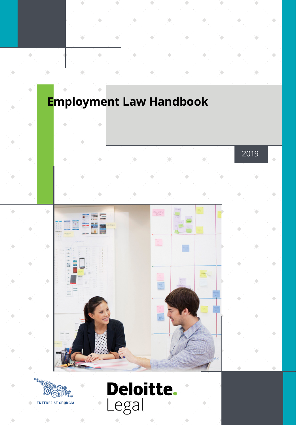



**ENTERPRISE GEORGIA** 

ö

 $\ddot{\phantom{0}}$ 

۰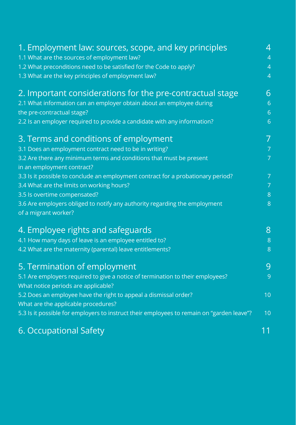| 1. Employment law: sources, scope, and key principles                                     | 4              |
|-------------------------------------------------------------------------------------------|----------------|
| 1.1 What are the sources of employment law?                                               | $\overline{4}$ |
| 1.2 What preconditions need to be satisfied for the Code to apply?                        | $\overline{4}$ |
| 1.3 What are the key principles of employment law?                                        | $\overline{4}$ |
| 2. Important considerations for the pre-contractual stage                                 | 6              |
| 2.1 What information can an employer obtain about an employee during                      | $\overline{6}$ |
| the pre-contractual stage?                                                                | $\overline{6}$ |
| 2.2 Is an employer required to provide a candidate with any information?                  | $\overline{6}$ |
| 3. Terms and conditions of employment                                                     | 7              |
| 3.1 Does an employment contract need to be in writing?                                    | $\overline{7}$ |
| 3.2 Are there any minimum terms and conditions that must be present                       | $\overline{7}$ |
| in an employment contract?                                                                |                |
| 3.3 Is it possible to conclude an employment contract for a probationary period?          | $\overline{7}$ |
| 3.4 What are the limits on working hours?                                                 | $\overline{7}$ |
| 3.5 Is overtime compensated?                                                              | $\overline{8}$ |
| 3.6 Are employers obliged to notify any authority regarding the employment                | $\delta$       |
| of a migrant worker?                                                                      |                |
| 4. Employee rights and safeguards                                                         | 8              |
| 4.1 How many days of leave is an employee entitled to?                                    | $\overline{8}$ |
| 4.2 What are the maternity (parental) leave entitlements?                                 | $\delta$       |
| 5. Termination of employment                                                              | 9              |
| 5.1 Are employers required to give a notice of termination to their employees?            | 9              |
| What notice periods are applicable?                                                       | 10             |
| 5.2 Does an employee have the right to appeal a dismissal order?                          |                |
| What are the applicable procedures?                                                       | 10             |
| 5.3 Is it possible for employers to instruct their employees to remain on "garden leave"? |                |
| 6. Occupational Safety                                                                    | 11             |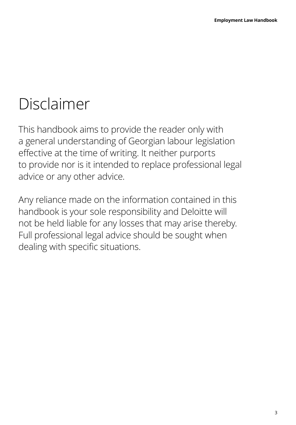## Disclaimer

This handbook aims to provide the reader only with a general understanding of Georgian labour legislation effective at the time of writing. It neither purports to provide nor is it intended to replace professional legal advice or any other advice.

Any reliance made on the information contained in this handbook is your sole responsibility and Deloitte will not be held liable for any losses that may arise thereby. Full professional legal advice should be sought when dealing with specific situations.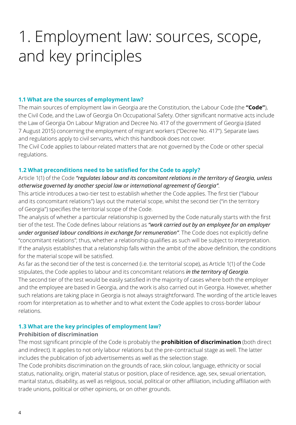## 1. Employment law: sources, scope, and key principles

#### **1.1 What are the sources of employment law?**

The main sources of employment law in Georgia are the Constitution, the Labour Code (the **"Code"**), the Civil Code, and the Law of Georgia On Occupational Safety. Other significant normative acts include the Law of Georgia On Labour Migration and Decree No. 417 of the government of Georgia (dated 7 August 2015) concerning the employment of migrant workers ("Decree No. 417"). Separate laws and regulations apply to civil servants, which this handbook does not cover.

The Civil Code applies to labour-related matters that are not governed by the Code or other special regulations.

#### **1.2 What preconditions need to be satisfied for the Code to apply?**

Article 1(1) of the Code *"regulates labour and its concomitant relations in the territory of Georgia, unless otherwise governed by another special law or international agreement of Georgia"*.

This article introduces a two-tier test to establish whether the Code applies. The first tier ("labour and its concomitant relations") lays out the material scope, whilst the second tier ("in the territory of Georgia") specifies the territorial scope of the Code.

The analysis of whether a particular relationship is governed by the Code naturally starts with the first tier of the test. The Code defines labour relations as *"work carried out by an employee for an employer under organised labour conditions in exchange for remuneration"*. The Code does not explicitly define "concomitant relations"; thus, whether a relationship qualifies as such will be subject to interpretation. If the analysis establishes that a relationship falls within the ambit of the above definition, the conditions for the material scope will be satisfied.

As far as the second tier of the test is concerned (i.e. the territorial scope), as Article 1(1) of the Code stipulates, the Code applies to labour and its concomitant relations *in the territory of Georgia*. The second tier of the test would be easily satisfied in the majority of cases where both the employer and the employee are based in Georgia, and the work is also carried out in Georgia. However, whether such relations are taking place in Georgia is not always straightforward. The wording of the article leaves room for interpretation as to whether and to what extent the Code applies to cross-border labour relations.

#### **1.3 What are the key principles of employment law?**

#### **Prohibition of discrimination**

The most significant principle of the Code is probably the **prohibition of discrimination** (both direct and indirect). It applies to not only labour relations but the pre-contractual stage as well. The latter includes the publication of job advertisements as well as the selection stage.

The Code prohibits discrimination on the grounds of race, skin colour, language, ethnicity or social status, nationality, origin, material status or position, place of residence, age, sex, sexual orientation, marital status, disability, as well as religious, social, political or other affiliation, including affiliation with trade unions, political or other opinions, or on other grounds.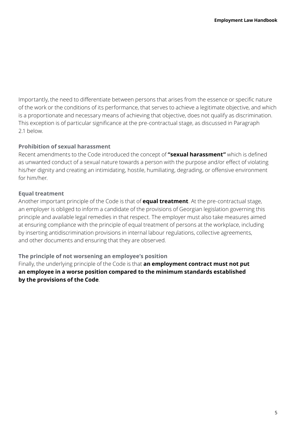Importantly, the need to differentiate between persons that arises from the essence or specific nature of the work or the conditions of its performance, that serves to achieve a legitimate objective, and which is a proportionate and necessary means of achieving that objective, does not qualify as discrimination. This exception is of particular significance at the pre-contractual stage, as discussed in Paragraph 2.1 below.

#### **Prohibition of sexual harassment**

Recent amendments to the Code introduced the concept of **"sexual harassment"** which is defined as unwanted conduct of a sexual nature towards a person with the purpose and/or effect of violating his/her dignity and creating an intimidating, hostile, humiliating, degrading, or offensive environment for him/her.

#### **Equal treatment**

Another important principle of the Code is that of **equal treatment**. At the pre-contractual stage, an employer is obliged to inform a candidate of the provisions of Georgian legislation governing this principle and available legal remedies in that respect. The employer must also take measures aimed at ensuring compliance with the principle of equal treatment of persons at the workplace, including by inserting antidiscrimination provisions in internal labour regulations, collective agreements, and other documents and ensuring that they are observed.

### **The principle of not worsening an employee's position**

Finally, the underlying principle of the Code is that **an employment contract must not put an employee in a worse position compared to the minimum standards established by the provisions of the Code**.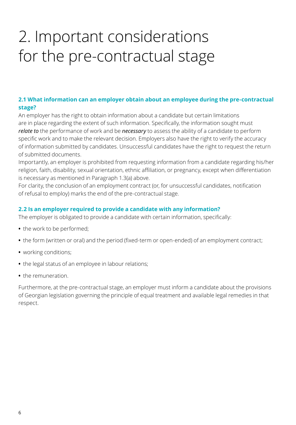## 2. Important considerations for the pre-contractual stage

### **2.1 What information can an employer obtain about an employee during the pre-contractual stage?**

An employer has the right to obtain information about a candidate but certain limitations are in place regarding the extent of such information. Specifically, the information sought must *relate to* the performance of work and be *necessary* to assess the ability of a candidate to perform specific work and to make the relevant decision. Employers also have the right to verify the accuracy of information submitted by candidates. Unsuccessful candidates have the right to request the return of submitted documents.

Importantly, an employer is prohibited from requesting information from a candidate regarding his/her religion, faith, disability, sexual orientation, ethnic affiliation, or pregnancy, except when differentiation is necessary as mentioned in Paragraph 1.3(a) above.

For clarity, the conclusion of an employment contract (or, for unsuccessful candidates, notification of refusal to employ) marks the end of the pre-contractual stage.

### **2.2 Is an employer required to provide a candidate with any information?**

The employer is obligated to provide a candidate with certain information, specifically:

- **•** the work to be performed;
- **•** the form (written or oral) and the period (fixed-term or open-ended) of an employment contract;
- **•** working conditions;
- **•** the legal status of an employee in labour relations;
- **•** the remuneration.

Furthermore, at the pre-contractual stage, an employer must inform a candidate about the provisions of Georgian legislation governing the principle of equal treatment and available legal remedies in that respect.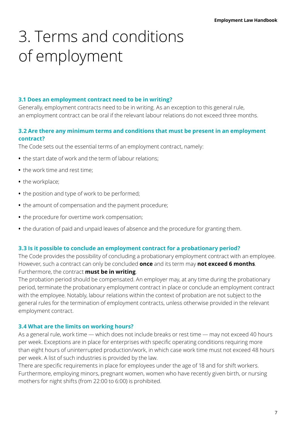## 3. Terms and conditions of employment

#### **3.1 Does an employment contract need to be in writing?**

Generally, employment contracts need to be in writing. As an exception to this general rule, an employment contract can be oral if the relevant labour relations do not exceed three months.

### **3.2 Are there any minimum terms and conditions that must be present in an employment contract?**

The Code sets out the essential terms of an employment contract, namely:

- **•** the start date of work and the term of labour relations;
- **•** the work time and rest time;
- **•** the workplace;
- **•** the position and type of work to be performed;
- **•** the amount of compensation and the payment procedure;
- **•** the procedure for overtime work compensation;
- **•** the duration of paid and unpaid leaves of absence and the procedure for granting them.

#### **3.3 Is it possible to conclude an employment contract for a probationary period?**

The Code provides the possibility of concluding a probationary employment contract with an employee. However, such a contract can only be concluded **once** and its term may **not exceed 6 months**. Furthermore, the contract **must be in writing**.

The probation period should be compensated. An employer may, at any time during the probationary period, terminate the probationary employment contract in place or conclude an employment contract with the employee. Notably, labour relations within the context of probation are not subject to the general rules for the termination of employment contracts, unless otherwise provided in the relevant employment contract.

#### **3.4 What are the limits on working hours?**

As a general rule, work time — which does not include breaks or rest time — may not exceed 40 hours per week. Exceptions are in place for enterprises with specific operating conditions requiring more than eight hours of uninterrupted production/work, in which case work time must not exceed 48 hours per week. A list of such industries is provided by the law.

There are specific requirements in place for employees under the age of 18 and for shift workers. Furthermore, employing minors, pregnant women, women who have recently given birth, or nursing mothers for night shifts (from 22:00 to 6:00) is prohibited.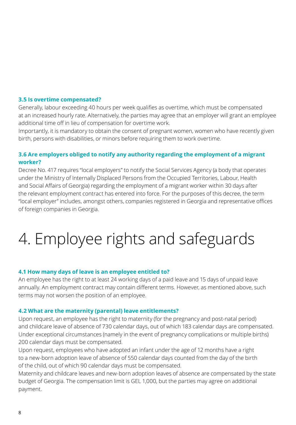#### **3.5 Is overtime compensated?**

Generally, labour exceeding 40 hours per week qualifies as overtime, which must be compensated at an increased hourly rate. Alternatively, the parties may agree that an employer will grant an employee additional time off in lieu of compensation for overtime work.

Importantly, it is mandatory to obtain the consent of pregnant women, women who have recently given birth, persons with disabilities, or minors before requiring them to work overtime.

#### **3.6 Are employers obliged to notify any authority regarding the employment of a migrant worker?**

Decree No. 417 requires "local employers" to notify the Social Services Agency (a body that operates under the Ministry of Internally Displaced Persons from the Occupied Territories, Labour, Health and Social Affairs of Georgia) regarding the employment of a migrant worker within 30 days after the relevant employment contract has entered into force. For the purposes of this decree, the term "local employer" includes, amongst others, companies registered in Georgia and representative offices of foreign companies in Georgia.

## 4. Employee rights and safeguards

#### **4.1 How many days of leave is an employee entitled to?**

An employee has the right to at least 24 working days of a paid leave and 15 days of unpaid leave annually. An employment contract may contain different terms. However, as mentioned above, such terms may not worsen the position of an employee.

#### **4.2 What are the maternity (parental) leave entitlements?**

Upon request, an employee has the right to maternity (for the pregnancy and post-natal period) and childcare leave of absence of 730 calendar days, out of which 183 calendar days are compensated. Under exceptional circumstances (namely in the event of pregnancy complications or multiple births) 200 calendar days must be compensated.

Upon request, employees who have adopted an infant under the age of 12 months have a right to a new-born adoption leave of absence of 550 calendar days counted from the day of the birth of the child, out of which 90 calendar days must be compensated.

Maternity and childcare leaves and new-born adoption leaves of absence are compensated by the state budget of Georgia. The compensation limit is GEL 1,000, but the parties may agree on additional payment.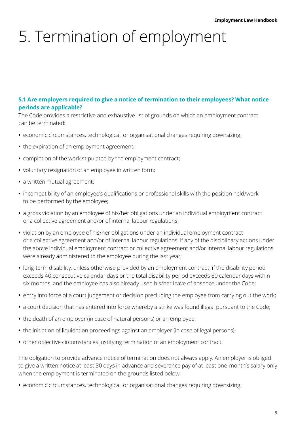# 5. Termination of employment

#### **5.1 Are employers required to give a notice of termination to their employees? What notice periods are applicable?**

The Code provides a restrictive and exhaustive list of grounds on which an employment contract can be terminated:

- **•** economic circumstances, technological, or organisational changes requiring downsizing;
- **•** the expiration of an employment agreement;
- **•** completion of the work stipulated by the employment contract;
- **•** voluntary resignation of an employee in written form;
- **•** a written mutual agreement;
- **•** incompatibility of an employee's qualifications or professional skills with the position held/work to be performed by the employee;
- **•** a gross violation by an employee of his/her obligations under an individual employment contract or a collective agreement and/or of internal labour regulations;
- **•** violation by an employee of his/her obligations under an individual employment contract or a collective agreement and/or of internal labour regulations, if any of the disciplinary actions under the above individual employment contract or collective agreement and/or internal labour regulations were already administered to the employee during the last year;
- **•** long-term disability, unless otherwise provided by an employment contract, if the disability period exceeds 40 consecutive calendar days or the total disability period exceeds 60 calendar days within six months, and the employee has also already used his/her leave of absence under the Code;
- **•** entry into force of a court judgement or decision precluding the employee from carrying out the work;
- **•** a court decision that has entered into force whereby a strike was found illegal pursuant to the Code;
- **•** the death of an employer (in case of natural persons) or an employee;
- **•** the initiation of liquidation proceedings against an employer (in case of legal persons);
- **•** other objective circumstances justifying termination of an employment contract.

The obligation to provide advance notice of termination does not always apply. An employer is obliged to give a written notice at least 30 days in advance and severance pay of at least one-month's salary only when the employment is terminated on the grounds listed below:

**•** economic circumstances, technological, or organisational changes requiring downsizing;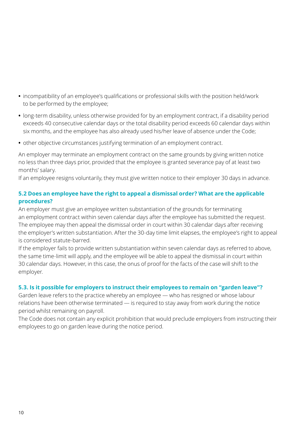- **•** incompatibility of an employee's qualifications or professional skills with the position held/work to be performed by the employee;
- **•** long-term disability, unless otherwise provided for by an employment contract, if a disability period exceeds 40 consecutive calendar days or the total disability period exceeds 60 calendar days within six months, and the employee has also already used his/her leave of absence under the Code;
- **•** other objective circumstances justifying termination of an employment contract.

An employer may terminate an employment contract on the same grounds by giving written notice no less than three days prior, provided that the employee is granted severance pay of at least two months' salary.

If an employee resigns voluntarily, they must give written notice to their employer 30 days in advance.

### **5.2 Does an employee have the right to appeal a dismissal order? What are the applicable procedures?**

An employer must give an employee written substantiation of the grounds for terminating an employment contract within seven calendar days after the employee has submitted the request. The employee may then appeal the dismissal order in court within 30 calendar days after receiving the employer's written substantiation. After the 30-day time limit elapses, the employee's right to appeal is considered statute-barred.

If the employer fails to provide written substantiation within seven calendar days as referred to above, the same time-limit will apply, and the employee will be able to appeal the dismissal in court within 30 calendar days. However, in this case, the onus of proof for the facts of the case will shift to the employer.

### **5.3. Is it possible for employers to instruct their employees to remain on "garden leave"?**

Garden leave refers to the practice whereby an employee — who has resigned or whose labour relations have been otherwise terminated — is required to stay away from work during the notice period whilst remaining on payroll.

The Code does not contain any explicit prohibition that would preclude employers from instructing their employees to go on garden leave during the notice period.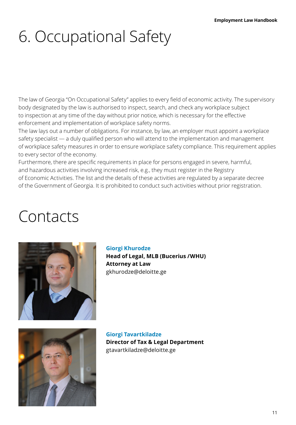# 6. Occupational Safety

The law of Georgia "On Occupational Safety" applies to every field of economic activity. The supervisory body designated by the law is authorised to inspect, search, and check any workplace subject to inspection at any time of the day without prior notice, which is necessary for the effective enforcement and implementation of workplace safety norms.

The law lays out a number of obligations. For instance, by law, an employer must appoint a workplace safety specialist — a duly qualified person who will attend to the implementation and management of workplace safety measures in order to ensure workplace safety compliance. This requirement applies to every sector of the economy.

Furthermore, there are specific requirements in place for persons engaged in severe, harmful, and hazardous activities involving increased risk, e.g., they must register in the Registry of Economic Activities. The list and the details of these activities are regulated by a separate decree of the Government of Georgia. It is prohibited to conduct such activities without prior registration.

## Contacts



#### **Giorgi Khurodze**

**Head of Legal, MLB (Bucerius /WHU) Attorney at Law** [gkhurodze@deloitte.ge](mailto:gkhurodze%40deloitte.ge?subject=)



**Giorgi Tavartkiladze Director of Tax & Legal Department** [gtavartkiladze@deloitte.ge](mailto:gtavartkiladze%40deloitte.ge?subject=)